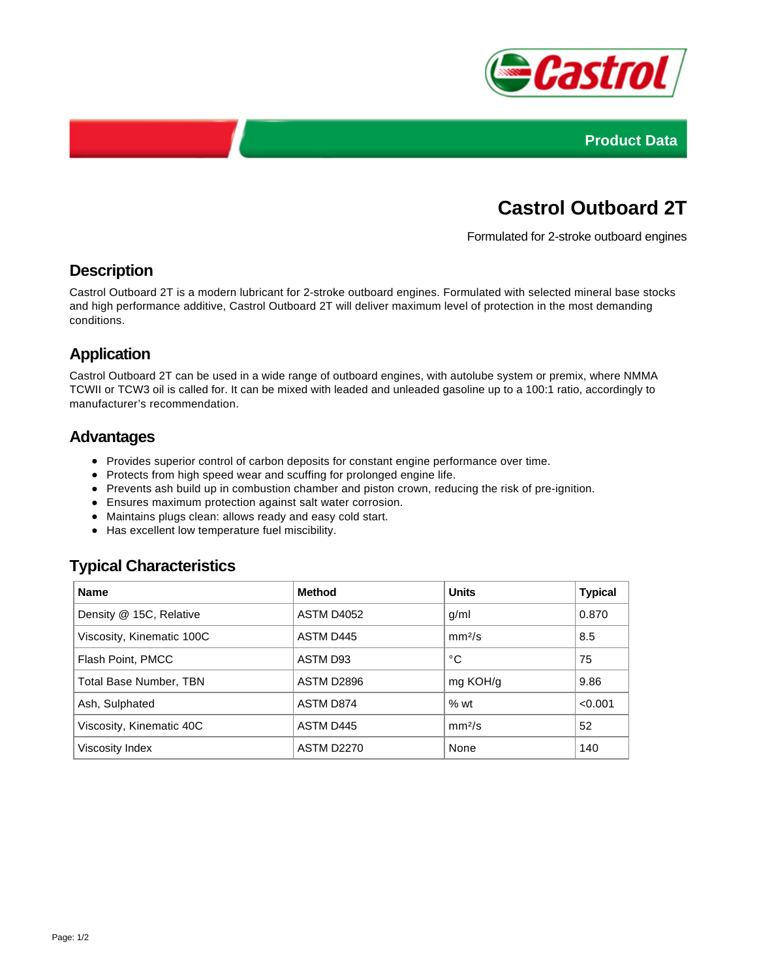



# **Castrol Outboard 2T**

Formulated for 2-stroke outboard engines

### **Description**

Castrol Outboard 2T is a modern lubricant for 2-stroke outboard engines. Formulated with selected mineral base stocks and high performance additive, Castrol Outboard 2T will deliver maximum level of protection in the most demanding conditions.

## **Application**

Castrol Outboard 2T can be used in a wide range of outboard engines, with autolube system or premix, where NMMA TCWII or TCW3 oil is called for. It can be mixed with leaded and unleaded gasoline up to a 100:1 ratio, accordingly to manufacturer's recommendation.

#### **Advantages**

- Provides superior control of carbon deposits for constant engine performance over time.
- Protects from high speed wear and scuffing for prolonged engine life.
- Prevents ash build up in combustion chamber and piston crown, reducing the risk of pre-ignition.
- Ensures maximum protection against salt water corrosion.
- Maintains plugs clean: allows ready and easy cold start.
- Has excellent low temperature fuel miscibility.

## **Typical Characteristics**

| <b>Name</b>                   | <b>Method</b>     | <b>Units</b>       | <b>Typical</b> |
|-------------------------------|-------------------|--------------------|----------------|
| Density @ 15C, Relative       | ASTM D4052        | g/ml               | 0.870          |
| Viscosity, Kinematic 100C     | ASTM D445         | mm <sup>2</sup> /s | 8.5            |
| Flash Point, PMCC             | ASTM D93          | °C                 | 75             |
| <b>Total Base Number, TBN</b> | ASTM D2896        | mg KOH/g           | 9.86           |
| Ash, Sulphated                | ASTM D874         | %wt                | < 0.001        |
| Viscosity, Kinematic 40C      | ASTM D445         | mm <sup>2</sup> /s | 52             |
| Viscosity Index               | <b>ASTM D2270</b> | None               | 140            |